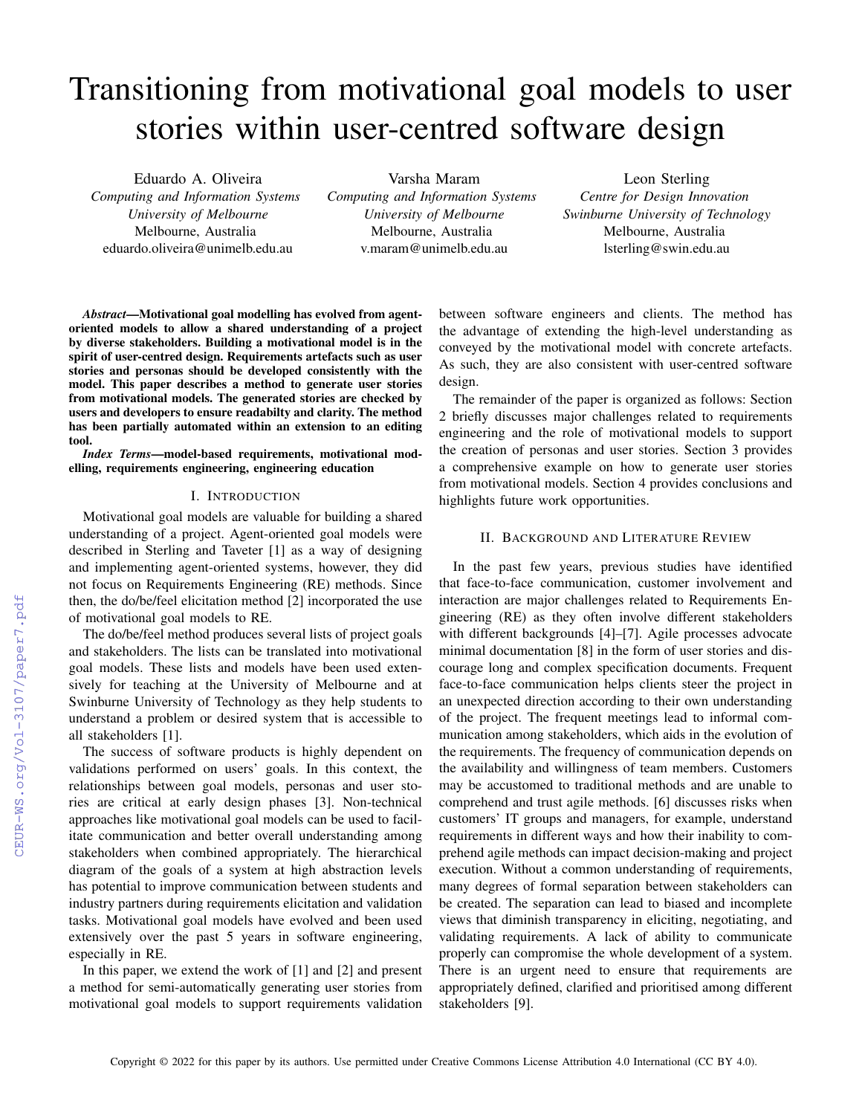# Transitioning from motivational goal models to user stories within user-centred software design

Eduardo A. Oliveira *Computing and Information Systems*

*University of Melbourne* Melbourne, Australia eduardo.oliveira@unimelb.edu.au

Varsha Maram *Computing and Information Systems University of Melbourne* Melbourne, Australia v.maram@unimelb.edu.au

Leon Sterling *Centre for Design Innovation Swinburne University of Technology* Melbourne, Australia lsterling@swin.edu.au

*Abstract*—Motivational goal modelling has evolved from agentoriented models to allow a shared understanding of a project by diverse stakeholders. Building a motivational model is in the spirit of user-centred design. Requirements artefacts such as user stories and personas should be developed consistently with the model. This paper describes a method to generate user stories from motivational models. The generated stories are checked by users and developers to ensure readabilty and clarity. The method has been partially automated within an extension to an editing tool.

*Index Terms*—model-based requirements, motivational modelling, requirements engineering, engineering education

# I. INTRODUCTION

Motivational goal models are valuable for building a shared understanding of a project. Agent-oriented goal models were described in Sterling and Taveter [1] as a way of designing and implementing agent-oriented systems, however, they did not focus on Requirements Engineering (RE) methods. Since then, the do/be/feel elicitation method [2] incorporated the use of motivational goal models to RE.

The do/be/feel method produces several lists of project goals and stakeholders. The lists can be translated into motivational goal models. These lists and models have been used extensively for teaching at the University of Melbourne and at Swinburne University of Technology as they help students to understand a problem or desired system that is accessible to all stakeholders [1].

The success of software products is highly dependent on validations performed on users' goals. In this context, the relationships between goal models, personas and user stories are critical at early design phases [3]. Non-technical approaches like motivational goal models can be used to facilitate communication and better overall understanding among stakeholders when combined appropriately. The hierarchical diagram of the goals of a system at high abstraction levels has potential to improve communication between students and industry partners during requirements elicitation and validation tasks. Motivational goal models have evolved and been used extensively over the past 5 years in software engineering, especially in RE.

In this paper, we extend the work of [1] and [2] and present a method for semi-automatically generating user stories from motivational goal models to support requirements validation

between software engineers and clients. The method has the advantage of extending the high-level understanding as conveyed by the motivational model with concrete artefacts. As such, they are also consistent with user-centred software design.

The remainder of the paper is organized as follows: Section 2 briefly discusses major challenges related to requirements engineering and the role of motivational models to support the creation of personas and user stories. Section 3 provides a comprehensive example on how to generate user stories from motivational models. Section 4 provides conclusions and highlights future work opportunities.

## II. BACKGROUND AND LITERATURE REVIEW

In the past few years, previous studies have identified that face-to-face communication, customer involvement and interaction are major challenges related to Requirements Engineering (RE) as they often involve different stakeholders with different backgrounds [4]–[7]. Agile processes advocate minimal documentation [8] in the form of user stories and discourage long and complex specification documents. Frequent face-to-face communication helps clients steer the project in an unexpected direction according to their own understanding of the project. The frequent meetings lead to informal communication among stakeholders, which aids in the evolution of the requirements. The frequency of communication depends on the availability and willingness of team members. Customers may be accustomed to traditional methods and are unable to comprehend and trust agile methods. [6] discusses risks when customers' IT groups and managers, for example, understand requirements in different ways and how their inability to comprehend agile methods can impact decision-making and project execution. Without a common understanding of requirements, many degrees of formal separation between stakeholders can be created. The separation can lead to biased and incomplete views that diminish transparency in eliciting, negotiating, and validating requirements. A lack of ability to communicate properly can compromise the whole development of a system. There is an urgent need to ensure that requirements are appropriately defined, clarified and prioritised among different stakeholders [9].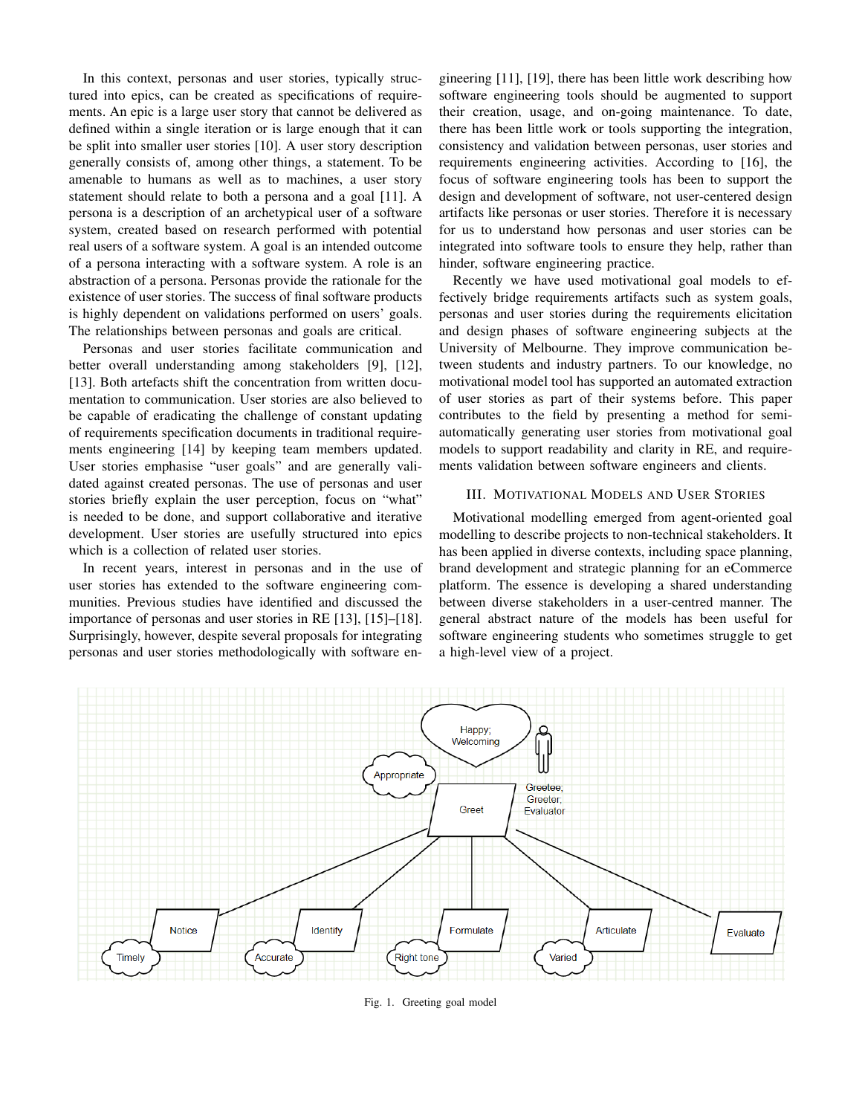In this context, personas and user stories, typically structured into epics, can be created as specifications of requirements. An epic is a large user story that cannot be delivered as defined within a single iteration or is large enough that it can be split into smaller user stories [10]. A user story description generally consists of, among other things, a statement. To be amenable to humans as well as to machines, a user story statement should relate to both a persona and a goal [11]. A persona is a description of an archetypical user of a software system, created based on research performed with potential real users of a software system. A goal is an intended outcome of a persona interacting with a software system. A role is an abstraction of a persona. Personas provide the rationale for the existence of user stories. The success of final software products is highly dependent on validations performed on users' goals. The relationships between personas and goals are critical.

Personas and user stories facilitate communication and better overall understanding among stakeholders [9], [12], [13]. Both artefacts shift the concentration from written documentation to communication. User stories are also believed to be capable of eradicating the challenge of constant updating of requirements specification documents in traditional requirements engineering [14] by keeping team members updated. User stories emphasise "user goals" and are generally validated against created personas. The use of personas and user stories briefly explain the user perception, focus on "what" is needed to be done, and support collaborative and iterative development. User stories are usefully structured into epics which is a collection of related user stories.

In recent years, interest in personas and in the use of user stories has extended to the software engineering communities. Previous studies have identified and discussed the importance of personas and user stories in RE [13], [15]–[18]. Surprisingly, however, despite several proposals for integrating personas and user stories methodologically with software engineering [11], [19], there has been little work describing how software engineering tools should be augmented to support their creation, usage, and on-going maintenance. To date, there has been little work or tools supporting the integration, consistency and validation between personas, user stories and requirements engineering activities. According to [16], the focus of software engineering tools has been to support the design and development of software, not user-centered design artifacts like personas or user stories. Therefore it is necessary for us to understand how personas and user stories can be integrated into software tools to ensure they help, rather than hinder, software engineering practice.

Recently we have used motivational goal models to effectively bridge requirements artifacts such as system goals, personas and user stories during the requirements elicitation and design phases of software engineering subjects at the University of Melbourne. They improve communication between students and industry partners. To our knowledge, no motivational model tool has supported an automated extraction of user stories as part of their systems before. This paper contributes to the field by presenting a method for semiautomatically generating user stories from motivational goal models to support readability and clarity in RE, and requirements validation between software engineers and clients.

## III. MOTIVATIONAL MODELS AND USER STORIES

Motivational modelling emerged from agent-oriented goal modelling to describe projects to non-technical stakeholders. It has been applied in diverse contexts, including space planning, brand development and strategic planning for an eCommerce platform. The essence is developing a shared understanding between diverse stakeholders in a user-centred manner. The general abstract nature of the models has been useful for software engineering students who sometimes struggle to get a high-level view of a project.



Fig. 1. Greeting goal model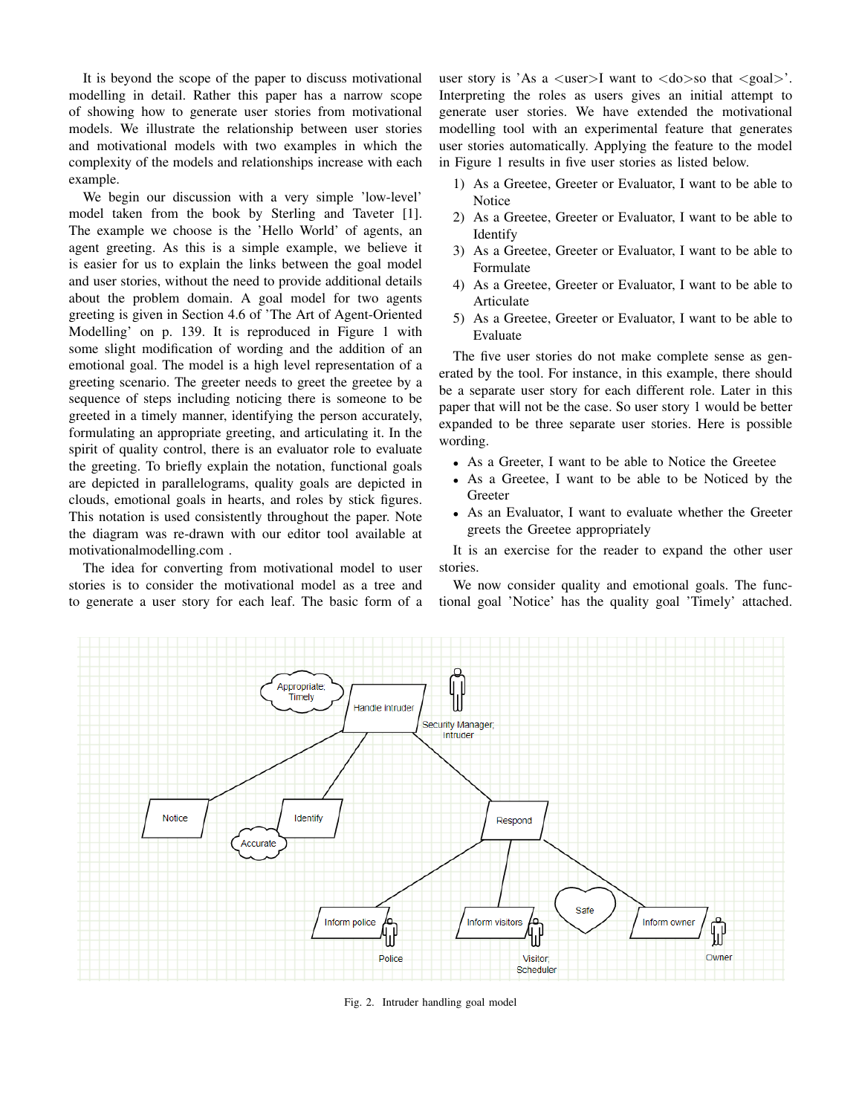It is beyond the scope of the paper to discuss motivational modelling in detail. Rather this paper has a narrow scope of showing how to generate user stories from motivational models. We illustrate the relationship between user stories and motivational models with two examples in which the complexity of the models and relationships increase with each example.

We begin our discussion with a very simple 'low-level' model taken from the book by Sterling and Taveter [1]. The example we choose is the 'Hello World' of agents, an agent greeting. As this is a simple example, we believe it is easier for us to explain the links between the goal model and user stories, without the need to provide additional details about the problem domain. A goal model for two agents greeting is given in Section 4.6 of 'The Art of Agent-Oriented Modelling' on p. 139. It is reproduced in Figure 1 with some slight modification of wording and the addition of an emotional goal. The model is a high level representation of a greeting scenario. The greeter needs to greet the greetee by a sequence of steps including noticing there is someone to be greeted in a timely manner, identifying the person accurately, formulating an appropriate greeting, and articulating it. In the spirit of quality control, there is an evaluator role to evaluate the greeting. To briefly explain the notation, functional goals are depicted in parallelograms, quality goals are depicted in clouds, emotional goals in hearts, and roles by stick figures. This notation is used consistently throughout the paper. Note the diagram was re-drawn with our editor tool available at motivationalmodelling.com .

The idea for converting from motivational model to user stories is to consider the motivational model as a tree and to generate a user story for each leaf. The basic form of a user story is 'As a  $\langle$ user $>$ I want to  $\langle$ do $>$ so that  $\langle$ goal $>$ '. Interpreting the roles as users gives an initial attempt to generate user stories. We have extended the motivational modelling tool with an experimental feature that generates user stories automatically. Applying the feature to the model in Figure 1 results in five user stories as listed below.

- 1) As a Greetee, Greeter or Evaluator, I want to be able to **Notice**
- 2) As a Greetee, Greeter or Evaluator, I want to be able to Identify
- 3) As a Greetee, Greeter or Evaluator, I want to be able to Formulate
- 4) As a Greetee, Greeter or Evaluator, I want to be able to Articulate
- 5) As a Greetee, Greeter or Evaluator, I want to be able to Evaluate

The five user stories do not make complete sense as generated by the tool. For instance, in this example, there should be a separate user story for each different role. Later in this paper that will not be the case. So user story 1 would be better expanded to be three separate user stories. Here is possible wording.

- As a Greeter, I want to be able to Notice the Greetee
- As a Greetee, I want to be able to be Noticed by the Greeter
- As an Evaluator, I want to evaluate whether the Greeter greets the Greetee appropriately

It is an exercise for the reader to expand the other user stories.

We now consider quality and emotional goals. The functional goal 'Notice' has the quality goal 'Timely' attached.



Fig. 2. Intruder handling goal model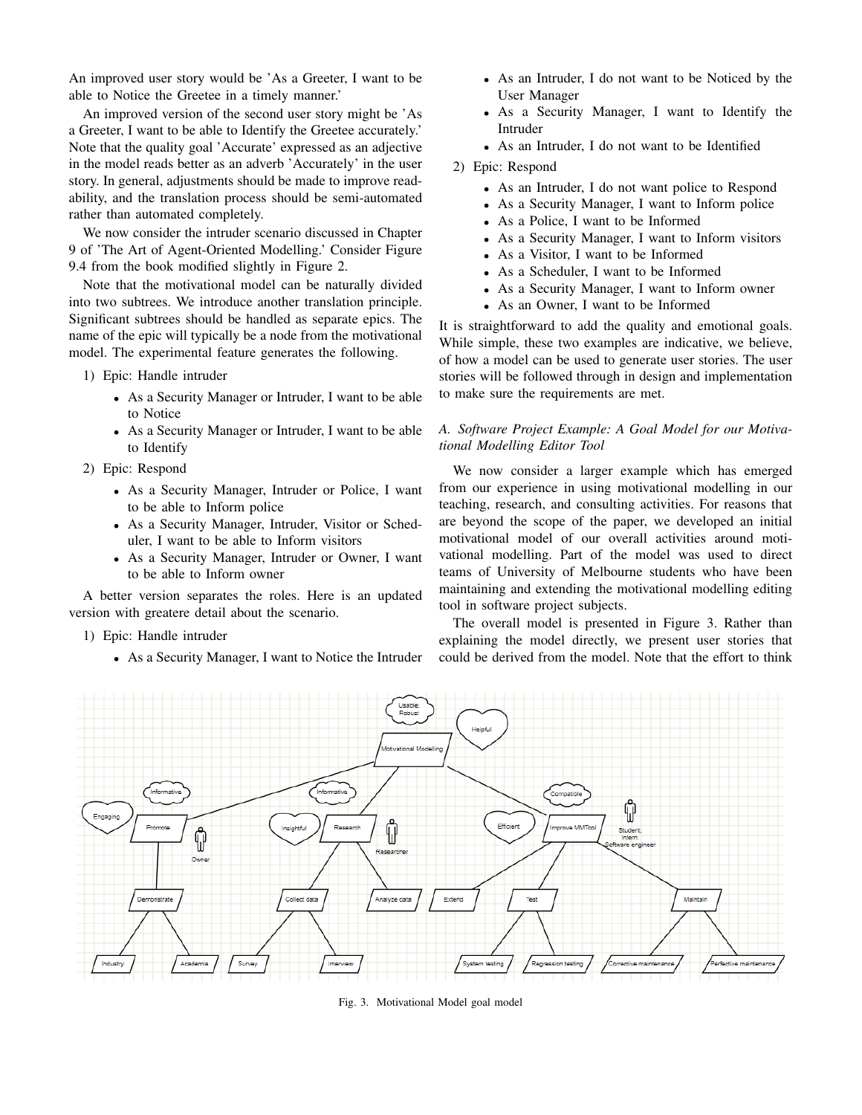An improved user story would be 'As a Greeter, I want to be able to Notice the Greetee in a timely manner.'

An improved version of the second user story might be 'As a Greeter, I want to be able to Identify the Greetee accurately.' Note that the quality goal 'Accurate' expressed as an adjective in the model reads better as an adverb 'Accurately' in the user story. In general, adjustments should be made to improve readability, and the translation process should be semi-automated rather than automated completely.

We now consider the intruder scenario discussed in Chapter 9 of 'The Art of Agent-Oriented Modelling.' Consider Figure 9.4 from the book modified slightly in Figure 2.

Note that the motivational model can be naturally divided into two subtrees. We introduce another translation principle. Significant subtrees should be handled as separate epics. The name of the epic will typically be a node from the motivational model. The experimental feature generates the following.

- 1) Epic: Handle intruder
	- As a Security Manager or Intruder, I want to be able to Notice
	- As a Security Manager or Intruder, I want to be able to Identify
- 2) Epic: Respond
	- As a Security Manager, Intruder or Police, I want to be able to Inform police
	- As a Security Manager, Intruder, Visitor or Scheduler, I want to be able to Inform visitors
	- As a Security Manager, Intruder or Owner, I want to be able to Inform owner

A better version separates the roles. Here is an updated version with greatere detail about the scenario.

- 1) Epic: Handle intruder
	- As a Security Manager, I want to Notice the Intruder
- As an Intruder, I do not want to be Noticed by the User Manager
- As a Security Manager, I want to Identify the Intruder
- As an Intruder, I do not want to be Identified

### 2) Epic: Respond

- As an Intruder, I do not want police to Respond
- As a Security Manager, I want to Inform police
- As a Police, I want to be Informed
- As a Security Manager, I want to Inform visitors
- As a Visitor, I want to be Informed
- As a Scheduler, I want to be Informed
- As a Security Manager, I want to Inform owner
- As an Owner, I want to be Informed

It is straightforward to add the quality and emotional goals. While simple, these two examples are indicative, we believe, of how a model can be used to generate user stories. The user stories will be followed through in design and implementation to make sure the requirements are met.

# *A. Software Project Example: A Goal Model for our Motivational Modelling Editor Tool*

We now consider a larger example which has emerged from our experience in using motivational modelling in our teaching, research, and consulting activities. For reasons that are beyond the scope of the paper, we developed an initial motivational model of our overall activities around motivational modelling. Part of the model was used to direct teams of University of Melbourne students who have been maintaining and extending the motivational modelling editing tool in software project subjects.

The overall model is presented in Figure 3. Rather than explaining the model directly, we present user stories that could be derived from the model. Note that the effort to think



Fig. 3. Motivational Model goal model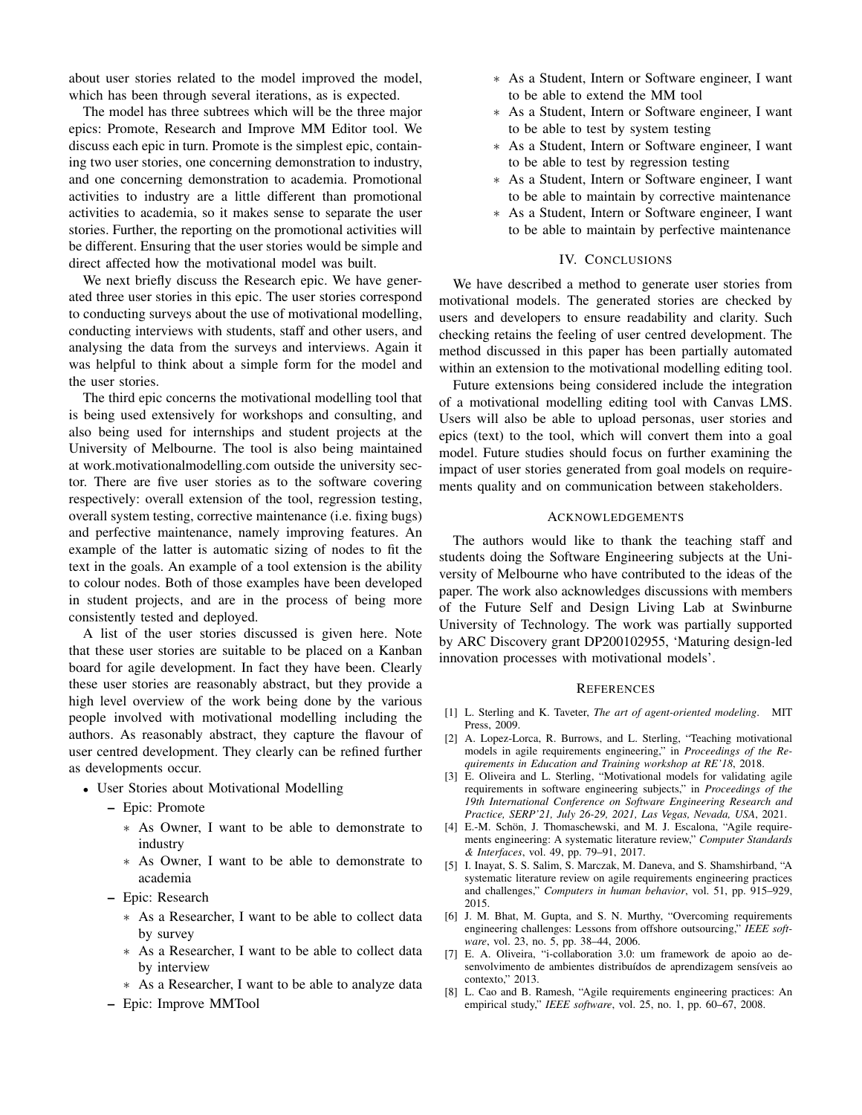about user stories related to the model improved the model, which has been through several iterations, as is expected.

The model has three subtrees which will be the three major epics: Promote, Research and Improve MM Editor tool. We discuss each epic in turn. Promote is the simplest epic, containing two user stories, one concerning demonstration to industry, and one concerning demonstration to academia. Promotional activities to industry are a little different than promotional activities to academia, so it makes sense to separate the user stories. Further, the reporting on the promotional activities will be different. Ensuring that the user stories would be simple and direct affected how the motivational model was built.

We next briefly discuss the Research epic. We have generated three user stories in this epic. The user stories correspond to conducting surveys about the use of motivational modelling, conducting interviews with students, staff and other users, and analysing the data from the surveys and interviews. Again it was helpful to think about a simple form for the model and the user stories.

The third epic concerns the motivational modelling tool that is being used extensively for workshops and consulting, and also being used for internships and student projects at the University of Melbourne. The tool is also being maintained at work.motivationalmodelling.com outside the university sector. There are five user stories as to the software covering respectively: overall extension of the tool, regression testing, overall system testing, corrective maintenance (i.e. fixing bugs) and perfective maintenance, namely improving features. An example of the latter is automatic sizing of nodes to fit the text in the goals. An example of a tool extension is the ability to colour nodes. Both of those examples have been developed in student projects, and are in the process of being more consistently tested and deployed.

A list of the user stories discussed is given here. Note that these user stories are suitable to be placed on a Kanban board for agile development. In fact they have been. Clearly these user stories are reasonably abstract, but they provide a high level overview of the work being done by the various people involved with motivational modelling including the authors. As reasonably abstract, they capture the flavour of user centred development. They clearly can be refined further as developments occur.

- User Stories about Motivational Modelling
	- Epic: Promote
		- ∗ As Owner, I want to be able to demonstrate to industry
		- ∗ As Owner, I want to be able to demonstrate to academia
	- Epic: Research
		- ∗ As a Researcher, I want to be able to collect data by survey
		- ∗ As a Researcher, I want to be able to collect data by interview
		- ∗ As a Researcher, I want to be able to analyze data
	- Epic: Improve MMTool
- ∗ As a Student, Intern or Software engineer, I want to be able to extend the MM tool
- ∗ As a Student, Intern or Software engineer, I want to be able to test by system testing
- ∗ As a Student, Intern or Software engineer, I want to be able to test by regression testing
- ∗ As a Student, Intern or Software engineer, I want to be able to maintain by corrective maintenance
- ∗ As a Student, Intern or Software engineer, I want to be able to maintain by perfective maintenance

#### IV. CONCLUSIONS

We have described a method to generate user stories from motivational models. The generated stories are checked by users and developers to ensure readability and clarity. Such checking retains the feeling of user centred development. The method discussed in this paper has been partially automated within an extension to the motivational modelling editing tool.

Future extensions being considered include the integration of a motivational modelling editing tool with Canvas LMS. Users will also be able to upload personas, user stories and epics (text) to the tool, which will convert them into a goal model. Future studies should focus on further examining the impact of user stories generated from goal models on requirements quality and on communication between stakeholders.

#### ACKNOWLEDGEMENTS

The authors would like to thank the teaching staff and students doing the Software Engineering subjects at the University of Melbourne who have contributed to the ideas of the paper. The work also acknowledges discussions with members of the Future Self and Design Living Lab at Swinburne University of Technology. The work was partially supported by ARC Discovery grant DP200102955, 'Maturing design-led innovation processes with motivational models'.

#### **REFERENCES**

- [1] L. Sterling and K. Taveter, *The art of agent-oriented modeling*. MIT Press, 2009.
- [2] A. Lopez-Lorca, R. Burrows, and L. Sterling, "Teaching motivational models in agile requirements engineering," in *Proceedings of the Requirements in Education and Training workshop at RE'18*, 2018.
- [3] E. Oliveira and L. Sterling, "Motivational models for validating agile requirements in software engineering subjects," in *Proceedings of the 19th International Conference on Software Engineering Research and Practice, SERP'21, July 26-29, 2021, Las Vegas, Nevada, USA*, 2021.
- [4] E.-M. Schön, J. Thomaschewski, and M. J. Escalona, "Agile requirements engineering: A systematic literature review," *Computer Standards & Interfaces*, vol. 49, pp. 79–91, 2017.
- [5] I. Inayat, S. S. Salim, S. Marczak, M. Daneva, and S. Shamshirband, "A systematic literature review on agile requirements engineering practices and challenges," *Computers in human behavior*, vol. 51, pp. 915–929, 2015.
- [6] J. M. Bhat, M. Gupta, and S. N. Murthy, "Overcoming requirements engineering challenges: Lessons from offshore outsourcing," *IEEE software*, vol. 23, no. 5, pp. 38–44, 2006.
- [7] E. A. Oliveira, "i-collaboration 3.0: um framework de apoio ao desenvolvimento de ambientes distribuídos de aprendizagem sensíveis ao contexto," 2013.
- [8] L. Cao and B. Ramesh, "Agile requirements engineering practices: An empirical study," *IEEE software*, vol. 25, no. 1, pp. 60–67, 2008.